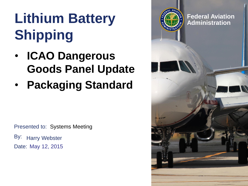### **Lithium Battery** *Existing Administration* **Shipping**

- **ICAO Dangerous Goods Panel Update**
- **Packaging Standard**

Presented to: Systems Meeting By: Date: May 12, 2015Harry Webster

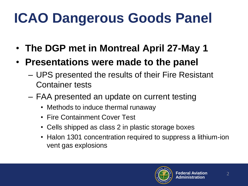- **The DGP met in Montreal April 27-May 1**
- **Presentations were made to the panel**
	- UPS presented the results of their Fire Resistant Container tests
	- FAA presented an update on current testing
		- Methods to induce thermal runaway
		- Fire Containment Cover Test
		- Cells shipped as class 2 in plastic storage boxes
		- Halon 1301 concentration required to suppress a lithium-ion vent gas explosions

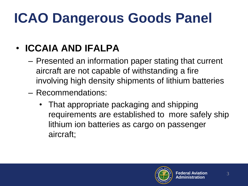#### • **ICCAIA AND IFALPA**

- Presented an information paper stating that current aircraft are not capable of withstanding a fire involving high density shipments of lithium batteries
- Recommendations:
	- That appropriate packaging and shipping requirements are established to more safely ship lithium ion batteries as cargo on passenger aircraft;

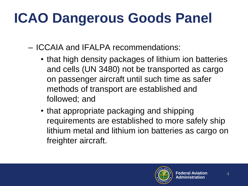- ICCAIA and IFALPA recommendations:
	- that high density packages of lithium ion batteries and cells (UN 3480) not be transported as cargo on passenger aircraft until such time as safer methods of transport are established and followed; and
	- that appropriate packaging and shipping requirements are established to more safely ship lithium metal and lithium ion batteries as cargo on freighter aircraft.

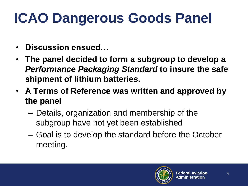- **Discussion ensued…**
- **The panel decided to form a subgroup to develop a**  *Performance Packaging Standard* **to insure the safe shipment of lithium batteries.**
- **A Terms of Reference was written and approved by the panel**
	- Details, organization and membership of the subgroup have not yet been established
	- Goal is to develop the standard before the October meeting.

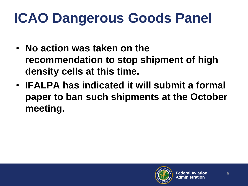- **No action was taken on the recommendation to stop shipment of high density cells at this time.**
- **IFALPA has indicated it will submit a formal paper to ban such shipments at the October meeting.**

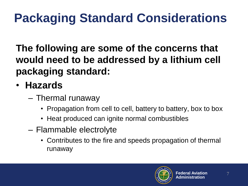**The following are some of the concerns that would need to be addressed by a lithium cell packaging standard:**

- **Hazards**
	- Thermal runaway
		- Propagation from cell to cell, battery to battery, box to box
		- Heat produced can ignite normal combustibles
	- Flammable electrolyte
		- Contributes to the fire and speeds propagation of thermal runaway

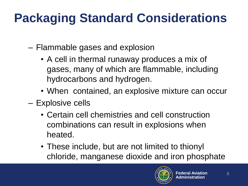- Flammable gases and explosion
	- A cell in thermal runaway produces a mix of gases, many of which are flammable, including hydrocarbons and hydrogen.
	- When contained, an explosive mixture can occur
- Explosive cells
	- Certain cell chemistries and cell construction combinations can result in explosions when heated.
	- These include, but are not limited to thionyl chloride, manganese dioxide and iron phosphate

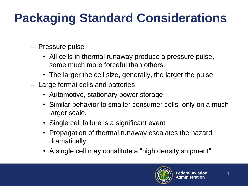- Pressure pulse
	- All cells in thermal runaway produce a pressure pulse, some much more forceful than others.
	- The larger the cell size, generally, the larger the pulse.
- Large format cells and batteries
	- Automotive, stationary power storage
	- Similar behavior to smaller consumer cells, only on a much larger scale.
	- Single cell failure is a significant event
	- Propagation of thermal runaway escalates the hazard dramatically.
	- A single cell may constitute a "high density shipment"

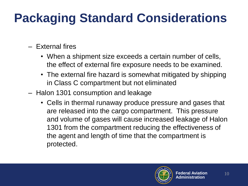- External fires
	- When a shipment size exceeds a certain number of cells, the effect of external fire exposure needs to be examined.
	- The external fire hazard is somewhat mitigated by shipping in Class C compartment but not eliminated
- Halon 1301 consumption and leakage
	- Cells in thermal runaway produce pressure and gases that are released into the cargo compartment. This pressure and volume of gases will cause increased leakage of Halon 1301 from the compartment reducing the effectiveness of the agent and length of time that the compartment is protected.

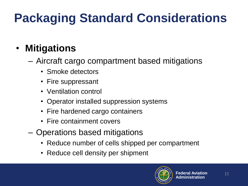#### • **Mitigations**

- Aircraft cargo compartment based mitigations
	- Smoke detectors
	- Fire suppressant
	- Ventilation control
	- Operator installed suppression systems
	- Fire hardened cargo containers
	- Fire containment covers
- Operations based mitigations
	- Reduce number of cells shipped per compartment
	- Reduce cell density per shipment

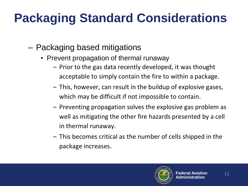- Packaging based mitigations
	- Prevent propagation of thermal runaway
		- Prior to the gas data recently developed, it was thought acceptable to simply contain the fire to within a package.
		- This, however, can result in the buildup of explosive gases, which may be difficult if not impossible to contain.
		- Preventing propagation solves the explosive gas problem as well as mitigating the other fire hazards presented by a cell in thermal runaway.
		- This becomes critical as the number of cells shipped in the package increases.

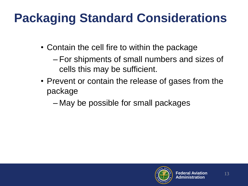- Contain the cell fire to within the package
	- For shipments of small numbers and sizes of cells this may be sufficient.
- Prevent or contain the release of gases from the package
	- May be possible for small packages

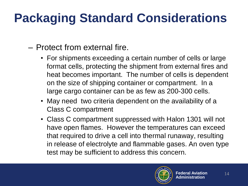- Protect from external fire.
	- For shipments exceeding a certain number of cells or large format cells, protecting the shipment from external fires and heat becomes important. The number of cells is dependent on the size of shipping container or compartment. In a large cargo container can be as few as 200-300 cells.
	- May need two criteria dependent on the availability of a Class C compartment
	- Class C compartment suppressed with Halon 1301 will not have open flames. However the temperatures can exceed that required to drive a cell into thermal runaway, resulting in release of electrolyte and flammable gases. An oven type test may be sufficient to address this concern.

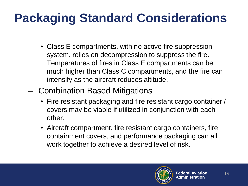- Class E compartments, with no active fire suppression system, relies on decompression to suppress the fire. Temperatures of fires in Class E compartments can be much higher than Class C compartments, and the fire can intensify as the aircraft reduces altitude.
- Combination Based Mitigations
	- Fire resistant packaging and fire resistant cargo container / covers may be viable if utilized in conjunction with each other.
	- Aircraft compartment, fire resistant cargo containers, fire containment covers, and performance packaging can all work together to achieve a desired level of risk.

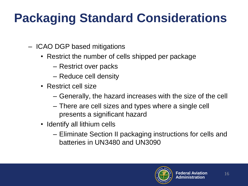- ICAO DGP based mitigations
	- Restrict the number of cells shipped per package
		- Restrict over packs
		- Reduce cell density
	- Restrict cell size
		- Generally, the hazard increases with the size of the cell
		- There are cell sizes and types where a single cell presents a significant hazard
	- Identify all lithium cells
		- Eliminate Section II packaging instructions for cells and batteries in UN3480 and UN3090

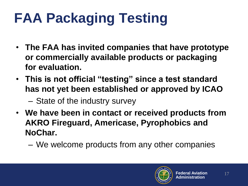# **FAA Packaging Testing**

- **The FAA has invited companies that have prototype or commercially available products or packaging for evaluation.**
- **This is not official "testing" since a test standard has not yet been established or approved by ICAO** – State of the industry survey
- **We have been in contact or received products from AKRO Fireguard, Americase, Pyrophobics and NoChar.**

– We welcome products from any other companies